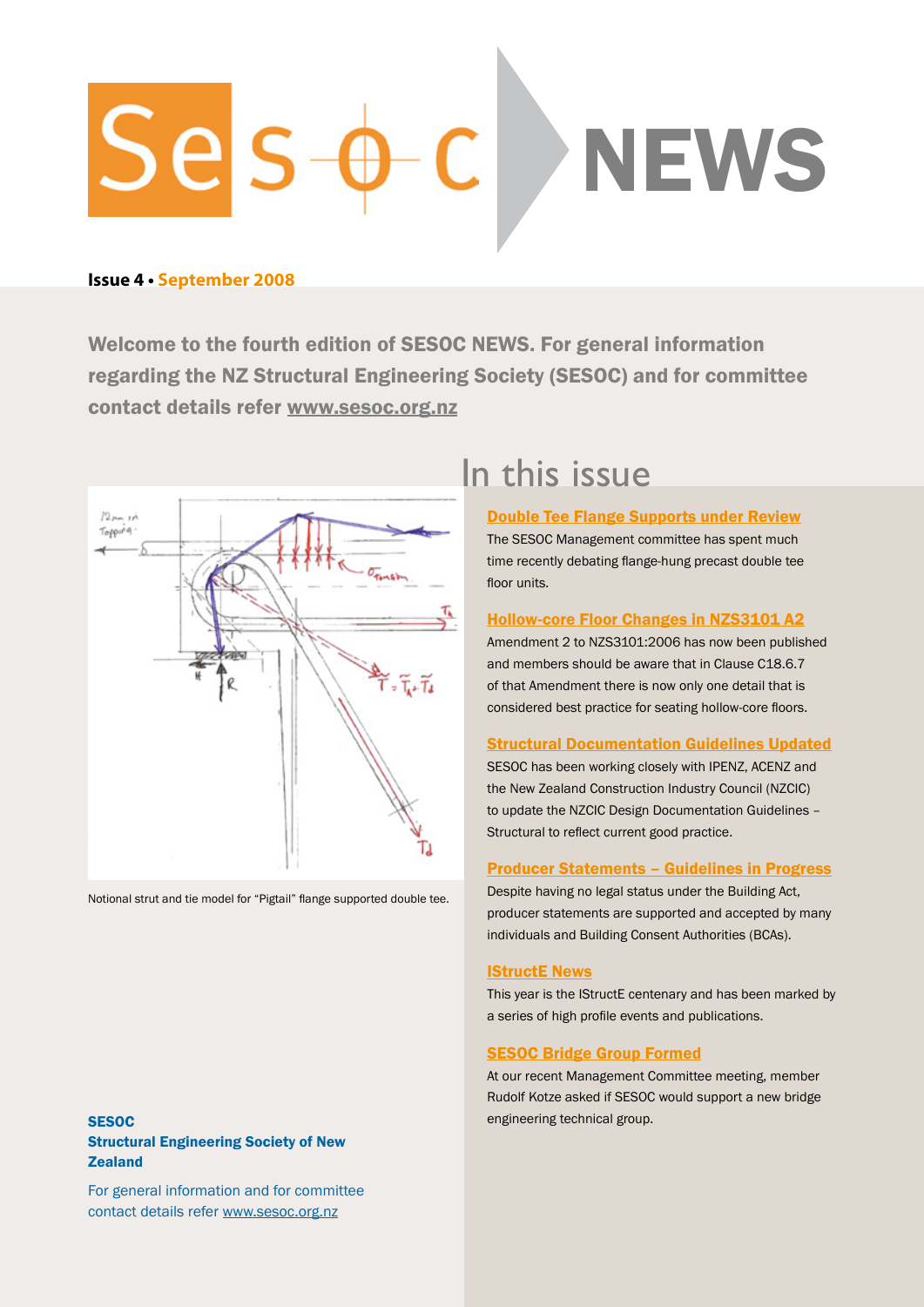# Sels **NEWS**

# **Issue 4 • September 2008**

Welcome to the fourth edition of SESOC NEWS. For general information regarding the NZ Structural Engineering Society (SESOC) and for committee contact details refer<www.sesoc.org.nz>



Notional strut and tie model for "Pigtail" flange supported double tee.

# <span id="page-0-0"></span>In this issue

[Double Tee Flange Supports under Review](#page-1-0) The SESOC Management committee has spent much time recently debating flange-hung precast double tee floor units.

#### [Hollow-core Floor Changes in NZS3101 A2](#page-2-0)

Amendment 2 to NZS3101:2006 has now been published and members should be aware that in Clause C18.6.7 of that Amendment there is now only one detail that is considered best practice for seating hollow-core floors.

#### [Structural Documentation Guidelines Updated](#page-3-0)

SESOC has been working closely with IPENZ, ACENZ and the New Zealand Construction Industry Council (NZCIC) to update the NZCIC Design Documentation Guidelines – Structural to reflect current good practice.

#### [Producer Statements – Guidelines in Progress](#page-3-1)

Despite having no legal status under the Building Act, producer statements are supported and accepted by many individuals and Building Consent Authorities (BCAs).

#### **[IStructE News](#page-4-0)**

This year is the IStructE centenary and has been marked by a series of high profile events and publications.

#### [SESOC Bridge Group Formed](#page-4-1)

At our recent Management Committee meeting, member Rudolf Kotze asked if SESOC would support a new bridge engineering technical group.

# **SESOC** Structural Engineering Society of New **Zealand**

For general information and for committee contact details refer<www.sesoc.org.nz>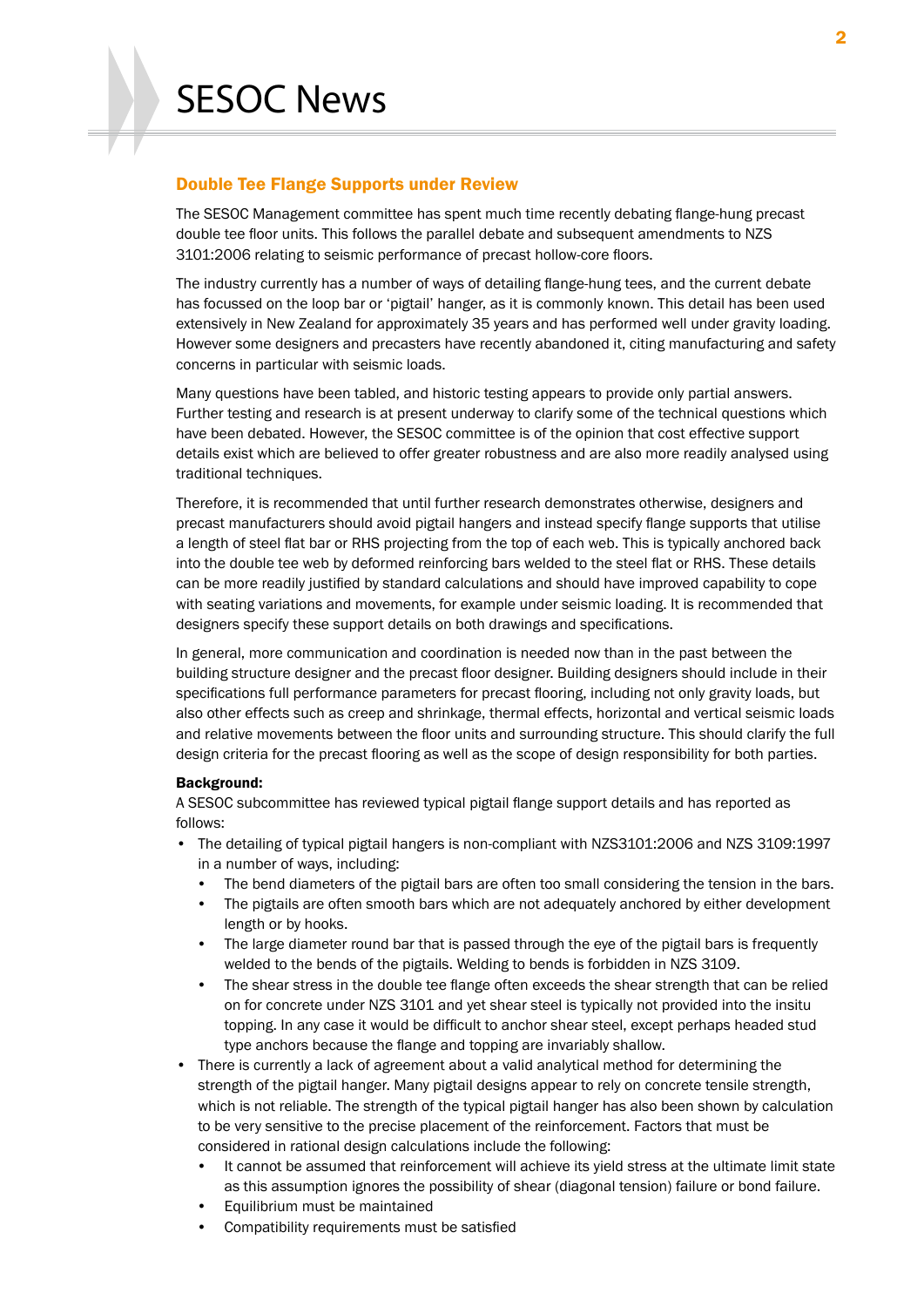# <span id="page-1-0"></span>Double Tee Flange Supports under Review

The SESOC Management committee has spent much time recently debating flange-hung precast double tee floor units. This follows the parallel debate and subsequent amendments to NZS 3101:2006 relating to seismic performance of precast hollow-core floors.

The industry currently has a number of ways of detailing flange-hung tees, and the current debate has focussed on the loop bar or 'pigtail' hanger, as it is commonly known. This detail has been used extensively in New Zealand for approximately 35 years and has performed well under gravity loading. However some designers and precasters have recently abandoned it, citing manufacturing and safety concerns in particular with seismic loads.

Many questions have been tabled, and historic testing appears to provide only partial answers. Further testing and research is at present underway to clarify some of the technical questions which have been debated. However, the SESOC committee is of the opinion that cost effective support details exist which are believed to offer greater robustness and are also more readily analysed using traditional techniques.

Therefore, it is recommended that until further research demonstrates otherwise, designers and precast manufacturers should avoid pigtail hangers and instead specify flange supports that utilise a length of steel flat bar or RHS projecting from the top of each web. This is typically anchored back into the double tee web by deformed reinforcing bars welded to the steel flat or RHS. These details can be more readily justified by standard calculations and should have improved capability to cope with seating variations and movements, for example under seismic loading. It is recommended that designers specify these support details on both drawings and specifications.

In general, more communication and coordination is needed now than in the past between the building structure designer and the precast floor designer. Building designers should include in their specifications full performance parameters for precast flooring, including not only gravity loads, but also other effects such as creep and shrinkage, thermal effects, horizontal and vertical seismic loads and relative movements between the floor units and surrounding structure. This should clarify the full design criteria for the precast flooring as well as the scope of design responsibility for both parties.

#### Background:

A SESOC subcommittee has reviewed typical pigtail flange support details and has reported as follows:

- The detailing of typical pigtail hangers is non-compliant with NZS3101:2006 and NZS 3109:1997 in a number of ways, including:
	- The bend diameters of the pigtail bars are often too small considering the tension in the bars.
	- The pigtails are often smooth bars which are not adequately anchored by either development length or by hooks.
	- The large diameter round bar that is passed through the eye of the pigtail bars is frequently welded to the bends of the pigtails. Welding to bends is forbidden in NZS 3109.
	- The shear stress in the double tee flange often exceeds the shear strength that can be relied on for concrete under NZS 3101 and yet shear steel is typically not provided into the insitu topping. In any case it would be difficult to anchor shear steel, except perhaps headed stud type anchors because the flange and topping are invariably shallow.
- There is currently a lack of agreement about a valid analytical method for determining the strength of the pigtail hanger. Many pigtail designs appear to rely on concrete tensile strength, which is not reliable. The strength of the typical pigtail hanger has also been shown by calculation to be very sensitive to the precise placement of the reinforcement. Factors that must be considered in rational design calculations include the following:
	- It cannot be assumed that reinforcement will achieve its yield stress at the ultimate limit state as this assumption ignores the possibility of shear (diagonal tension) failure or bond failure.
	- Equilibrium must be maintained
	- Compatibility requirements must be satisfied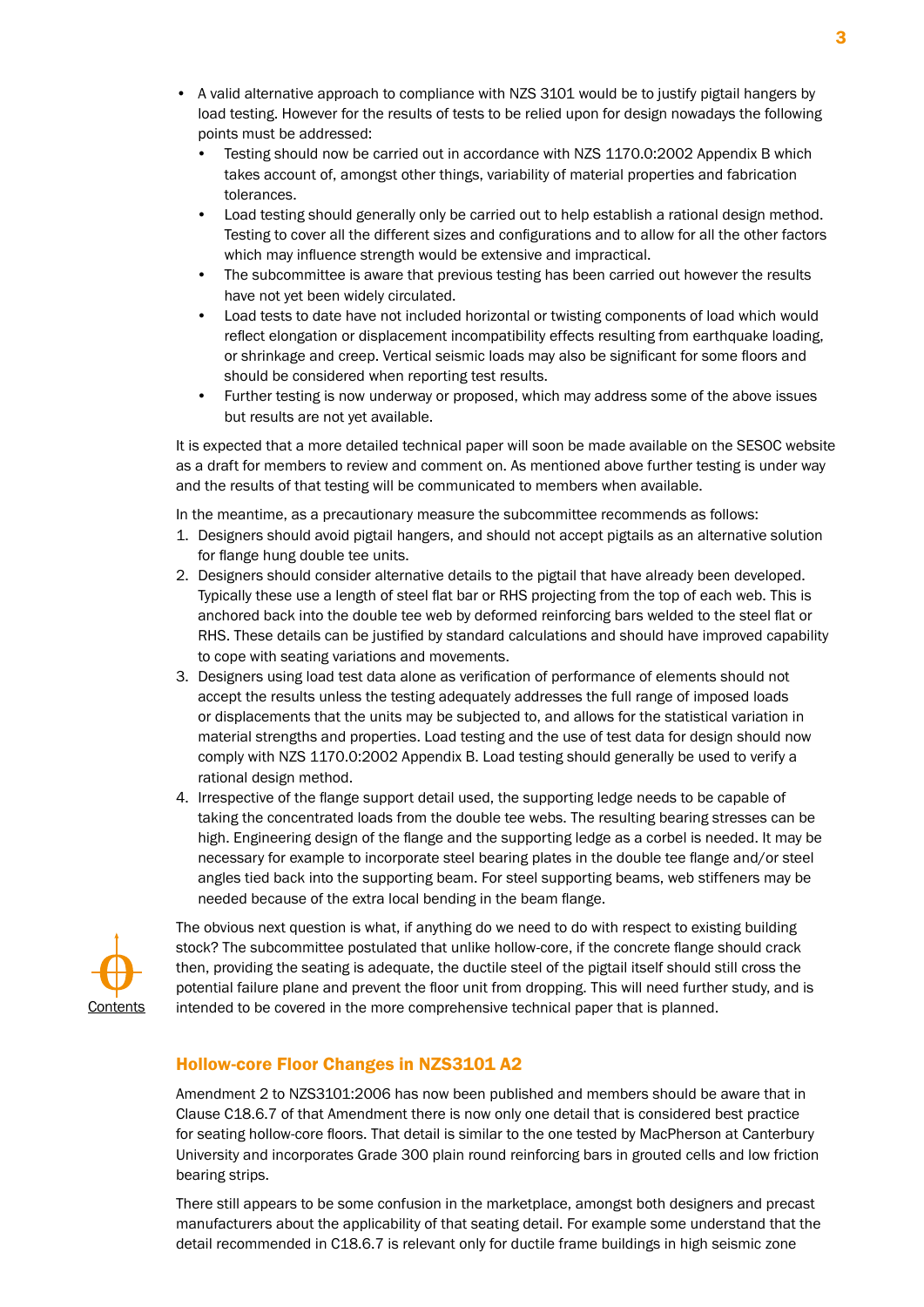- A valid alternative approach to compliance with NZS 3101 would be to justify pigtail hangers by load testing. However for the results of tests to be relied upon for design nowadays the following points must be addressed:
	- Testing should now be carried out in accordance with NZS 1170.0:2002 Appendix B which takes account of, amongst other things, variability of material properties and fabrication tolerances.
	- Load testing should generally only be carried out to help establish a rational design method. Testing to cover all the different sizes and configurations and to allow for all the other factors which may influence strength would be extensive and impractical.
	- The subcommittee is aware that previous testing has been carried out however the results have not yet been widely circulated.
	- Load tests to date have not included horizontal or twisting components of load which would reflect elongation or displacement incompatibility effects resulting from earthquake loading, or shrinkage and creep. Vertical seismic loads may also be significant for some floors and should be considered when reporting test results.
	- Further testing is now underway or proposed, which may address some of the above issues but results are not yet available.

It is expected that a more detailed technical paper will soon be made available on the SESOC website as a draft for members to review and comment on. As mentioned above further testing is under way and the results of that testing will be communicated to members when available.

In the meantime, as a precautionary measure the subcommittee recommends as follows:

- 1. Designers should avoid pigtail hangers, and should not accept pigtails as an alternative solution for flange hung double tee units.
- 2. Designers should consider alternative details to the pigtail that have already been developed. Typically these use a length of steel flat bar or RHS projecting from the top of each web. This is anchored back into the double tee web by deformed reinforcing bars welded to the steel flat or RHS. These details can be justified by standard calculations and should have improved capability to cope with seating variations and movements.
- 3. Designers using load test data alone as verification of performance of elements should not accept the results unless the testing adequately addresses the full range of imposed loads or displacements that the units may be subjected to, and allows for the statistical variation in material strengths and properties. Load testing and the use of test data for design should now comply with NZS 1170.0:2002 Appendix B. Load testing should generally be used to verify a rational design method.
- 4. Irrespective of the flange support detail used, the supporting ledge needs to be capable of taking the concentrated loads from the double tee webs. The resulting bearing stresses can be high. Engineering design of the flange and the supporting ledge as a corbel is needed. It may be necessary for example to incorporate steel bearing plates in the double tee flange and/or steel angles tied back into the supporting beam. For steel supporting beams, web stiffeners may be needed because of the extra local bending in the beam flange.



The obvious next question is what, if anything do we need to do with respect to existing building stock? The subcommittee postulated that unlike hollow-core, if the concrete flange should crack then, providing the seating is adequate, the ductile steel of the pigtail itself should still cross the potential failure plane and prevent the floor unit from dropping. This will need further study, and is intended to be covered in the more comprehensive technical paper that is planned.

### <span id="page-2-0"></span>Hollow-core Floor Changes in NZS3101 A2

Amendment 2 to NZS3101:2006 has now been published and members should be aware that in Clause C18.6.7 of that Amendment there is now only one detail that is considered best practice for seating hollow-core floors. That detail is similar to the one tested by MacPherson at Canterbury University and incorporates Grade 300 plain round reinforcing bars in grouted cells and low friction bearing strips.

There still appears to be some confusion in the marketplace, amongst both designers and precast manufacturers about the applicability of that seating detail. For example some understand that the detail recommended in C18.6.7 is relevant only for ductile frame buildings in high seismic zone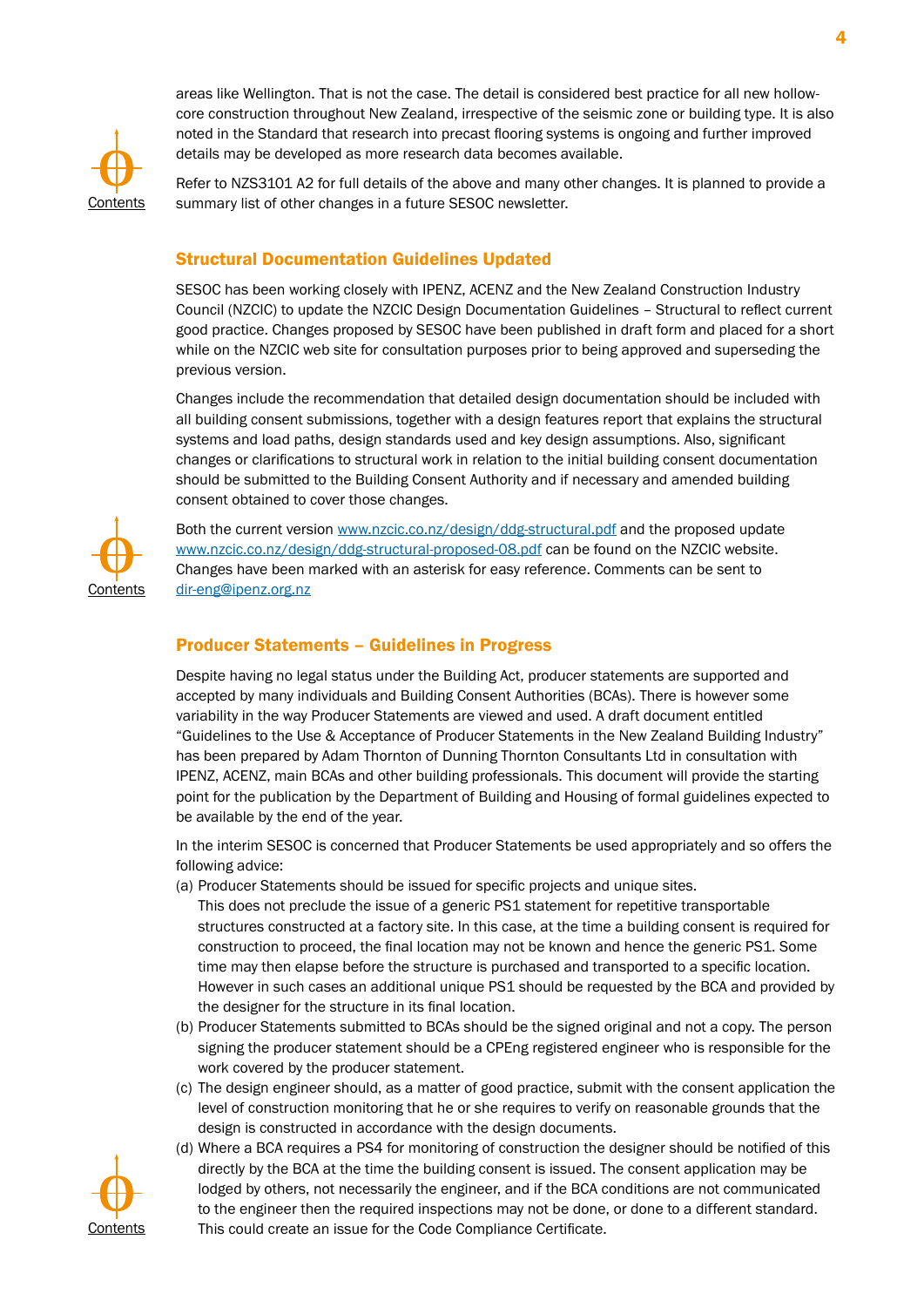

areas like Wellington. That is not the case. The detail is considered best practice for all new hollowcore construction throughout New Zealand, irrespective of the seismic zone or building type. It is also noted in the Standard that research into precast flooring systems is ongoing and further improved details may be developed as more research data becomes available.

Refer to NZS3101 A2 for full details of the above and many other changes. It is planned to provide a summary list of other changes in a future SESOC newsletter.

# <span id="page-3-0"></span>Structural Documentation Guidelines Updated

SESOC has been working closely with IPENZ, ACENZ and the New Zealand Construction Industry Council (NZCIC) to update the NZCIC Design Documentation Guidelines – Structural to reflect current good practice. Changes proposed by SESOC have been published in draft form and placed for a short while on the NZCIC web site for consultation purposes prior to being approved and superseding the previous version.

Changes include the recommendation that detailed design documentation should be included with all building consent submissions, together with a design features report that explains the structural systems and load paths, design standards used and key design assumptions. Also, significant changes or clarifications to structural work in relation to the initial building consent documentation should be submitted to the Building Consent Authority and if necessary and amended building consent obtained to cover those changes.



Both the current version [www.nzcic.co.nz/design/ddg-structural.pd](www.nzcic.co.nz/design/ddg-structural.pdf)f and the proposed update [www.nzcic.co.nz/design/ddg-structural-proposed-08.pd](www.nzcic.co.nz/design/ddg-structural-proposed-08.pdf)f can be found on the NZCIC website. Changes have been marked with an asterisk for easy reference. Comments can be sent to [dir-eng@ipenz.org.n](mailto:dir-eng@ipenz.org.nz)z

# <span id="page-3-1"></span>Producer Statements – Guidelines in Progress

Despite having no legal status under the Building Act, producer statements are supported and accepted by many individuals and Building Consent Authorities (BCAs). There is however some variability in the way Producer Statements are viewed and used. A draft document entitled "Guidelines to the Use & Acceptance of Producer Statements in the New Zealand Building Industry" has been prepared by Adam Thornton of Dunning Thornton Consultants Ltd in consultation with IPENZ, ACENZ, main BCAs and other building professionals. This document will provide the starting point for the publication by the Department of Building and Housing of formal guidelines expected to be available by the end of the year.

In the interim SESOC is concerned that Producer Statements be used appropriately and so offers the following advice:

(a) Producer Statements should be issued for specific projects and unique sites.

This does not preclude the issue of a generic PS1 statement for repetitive transportable structures constructed at a factory site. In this case, at the time a building consent is required for construction to proceed, the final location may not be known and hence the generic PS1. Some time may then elapse before the structure is purchased and transported to a specific location. However in such cases an additional unique PS1 should be requested by the BCA and provided by the designer for the structure in its final location.

- (b) Producer Statements submitted to BCAs should be the signed original and not a copy. The person signing the producer statement should be a CPEng registered engineer who is responsible for the work covered by the producer statement.
- (c) The design engineer should, as a matter of good practice, submit with the consent application the level of construction monitoring that he or she requires to verify on reasonable grounds that the design is constructed in accordance with the design documents.
- (d) Where a BCA requires a PS4 for monitoring of construction the designer should be notified of this directly by the BCA at the time the building consent is issued. The consent application may be lodged by others, not necessarily the engineer, and if the BCA conditions are not communicated to the engineer then the required inspections may not be done, or done to a different standard. This could create an issue for the Code Compliance Certificate.